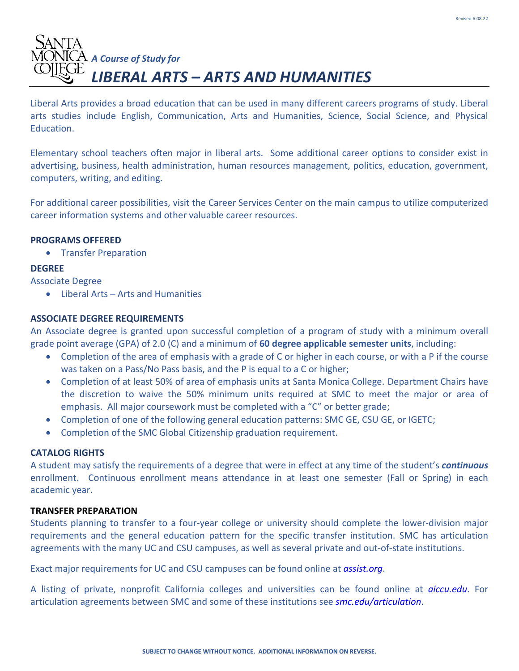# *A Course of Study for LIBERAL ARTS – ARTS AND HUMANITIES*

Liberal Arts provides a broad education that can be used in many different careers programs of study. Liberal arts studies include English, Communication, Arts and Humanities, Science, Social Science, and Physical Education.

Elementary school teachers often major in liberal arts. Some additional career options to consider exist in advertising, business, health administration, human resources management, politics, education, government, computers, writing, and editing.

For additional career possibilities, visit the Career Services Center on the main campus to utilize computerized career information systems and other valuable career resources.

# **PROGRAMS OFFERED**

• Transfer Preparation

# **DEGREE**

Associate Degree

• Liberal Arts – Arts and Humanities

# **ASSOCIATE DEGREE REQUIREMENTS**

An Associate degree is granted upon successful completion of a program of study with a minimum overall grade point average (GPA) of 2.0 (C) and a minimum of **60 degree applicable semester units**, including:

- Completion of the area of emphasis with a grade of C or higher in each course, or with a P if the course was taken on a Pass/No Pass basis, and the P is equal to a C or higher;
- Completion of at least 50% of area of emphasis units at Santa Monica College. Department Chairs have the discretion to waive the 50% minimum units required at SMC to meet the major or area of emphasis. All major coursework must be completed with a "C" or better grade;
- Completion of one of the following general education patterns: SMC GE, CSU GE, or IGETC;
- Completion of the SMC Global Citizenship graduation requirement.

# **CATALOG RIGHTS**

A student may satisfy the requirements of a degree that were in effect at any time of the student's *continuous*  enrollment. Continuous enrollment means attendance in at least one semester (Fall or Spring) in each academic year.

# **TRANSFER PREPARATION**

Students planning to transfer to a four-year college or university should complete the lower-division major requirements and the general education pattern for the specific transfer institution. SMC has articulation agreements with the many UC and CSU campuses, as well as several private and out-of-state institutions.

Exact major requirements for UC and CSU campuses can be found online at *assist.org*.

A listing of private, nonprofit California colleges and universities can be found online at *aiccu.edu*. For articulation agreements between SMC and some of these institutions see *smc.edu/articulation*.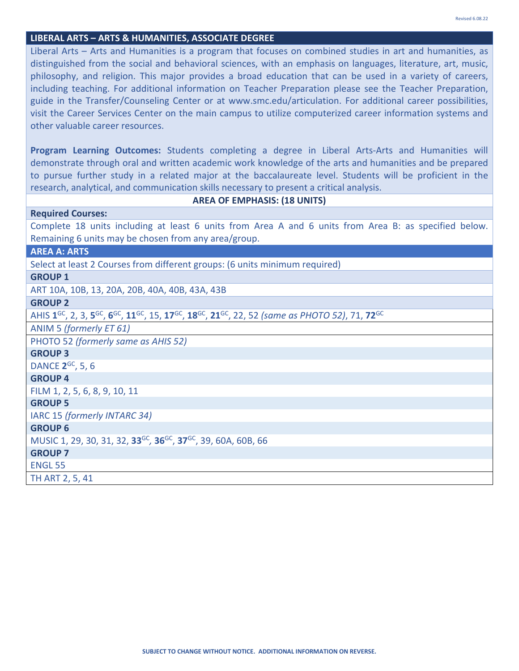#### **LIBERAL ARTS – ARTS & HUMANITIES, ASSOCIATE DEGREE**

Liberal Arts – Arts and Humanities is a program that focuses on combined studies in art and humanities, as distinguished from the social and behavioral sciences, with an emphasis on languages, literature, art, music, philosophy, and religion. This major provides a broad education that can be used in a variety of careers, including teaching. For additional information on Teacher Preparation please see the Teacher Preparation, guide in the Transfer/Counseling Center or at www.smc.edu/articulation. For additional career possibilities, visit the Career Services Center on the main campus to utilize computerized career information systems and other valuable career resources.

**Program Learning Outcomes:** Students completing a degree in Liberal Arts-Arts and Humanities will demonstrate through oral and written academic work knowledge of the arts and humanities and be prepared to pursue further study in a related major at the baccalaureate level. Students will be proficient in the research, analytical, and communication skills necessary to present a critical analysis.

#### **AREA OF EMPHASIS: (18 UNITS)**

# Complete 18 units including at least 6 units from Area A and 6 units from Area B: as specified below. Remaining 6 units may be chosen from any area/group.

#### **AREA A: ARTS**

**Required Courses:**

Select at least 2 Courses from different groups: (6 units minimum required)

## **GROUP 1**

ART 10A, 10B, 13, 20A, 20B, 40A, 40B, 43A, 43B

#### **GROUP 2**

AHIS **1**GC, 2, 3, **5**GC, **6**GC, **11**GC, 15, **17**GC, **18**GC, **21**GC, 22, 52 *(same as PHOTO 52)*, 71, **72**GC

ANIM 5 *(formerly ET 61)*

PHOTO 52 *(formerly same as AHIS 52)*

#### **GROUP 3**

DANCE **2**GC, 5, 6

## **GROUP 4**

FILM 1, 2, 5, 6, 8, 9, 10, 11

# **GROUP 5**

IARC 15 *(formerly INTARC 34)*

# **GROUP 6**

MUSIC 1, 29, 30, 31, 32, **33**GC*,* **36**GC, **37**GC, 39, 60A, 60B, 66

#### **GROUP 7**

ENGL 55

TH ART 2, 5, 41